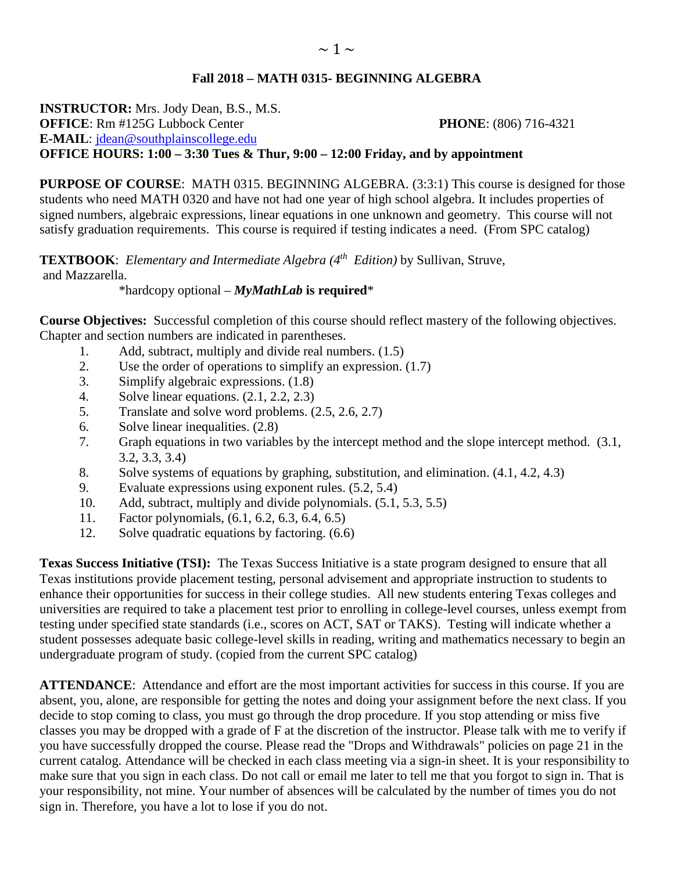## **Fall 2018 – MATH 0315- BEGINNING ALGEBRA**

**INSTRUCTOR:** Mrs. Jody Dean, B.S., M.S. **OFFICE**: Rm #125G Lubbock Center **PHONE**: (806) 716-4321 **E-MAIL**: [jdean@southplainscollege.edu](mailto:jdean@southplainscollege.edu)  **OFFICE HOURS: 1:00 – 3:30 Tues & Thur, 9:00 – 12:00 Friday, and by appointment**

**PURPOSE OF COURSE:** MATH 0315. BEGINNING ALGEBRA. (3:3:1) This course is designed for those students who need MATH 0320 and have not had one year of high school algebra. It includes properties of signed numbers, algebraic expressions, linear equations in one unknown and geometry. This course will not satisfy graduation requirements. This course is required if testing indicates a need. (From SPC catalog)

**TEXTBOOK**: *Elementary and Intermediate Algebra (4th Edition)* by Sullivan, Struve, and Mazzarella.

## \*hardcopy optional – *MyMathLab* **is required**\*

**Course Objectives:** Successful completion of this course should reflect mastery of the following objectives. Chapter and section numbers are indicated in parentheses.

- 1. Add, subtract, multiply and divide real numbers. (1.5)
- 2. Use the order of operations to simplify an expression. (1.7)
- 3. Simplify algebraic expressions. (1.8)
- 4. Solve linear equations. (2.1, 2.2, 2.3)
- 5. Translate and solve word problems. (2.5, 2.6, 2.7)
- 6. Solve linear inequalities. (2.8)
- 7. Graph equations in two variables by the intercept method and the slope intercept method. (3.1, 3.2, 3.3, 3.4)
- 8. Solve systems of equations by graphing, substitution, and elimination. (4.1, 4.2, 4.3)
- 9. Evaluate expressions using exponent rules. (5.2, 5.4)
- 10. Add, subtract, multiply and divide polynomials. (5.1, 5.3, 5.5)
- 11. Factor polynomials, (6.1, 6.2, 6.3, 6.4, 6.5)
- 12. Solve quadratic equations by factoring. (6.6)

**Texas Success Initiative (TSI):** The Texas Success Initiative is a state program designed to ensure that all Texas institutions provide placement testing, personal advisement and appropriate instruction to students to enhance their opportunities for success in their college studies. All new students entering Texas colleges and universities are required to take a placement test prior to enrolling in college-level courses, unless exempt from testing under specified state standards (i.e., scores on ACT, SAT or TAKS). Testing will indicate whether a student possesses adequate basic college-level skills in reading, writing and mathematics necessary to begin an undergraduate program of study. (copied from the current SPC catalog)

**ATTENDANCE**: Attendance and effort are the most important activities for success in this course. If you are absent, you, alone, are responsible for getting the notes and doing your assignment before the next class. If you decide to stop coming to class, you must go through the drop procedure. If you stop attending or miss five classes you may be dropped with a grade of F at the discretion of the instructor. Please talk with me to verify if you have successfully dropped the course. Please read the "Drops and Withdrawals" policies on page 21 in the current catalog. Attendance will be checked in each class meeting via a sign-in sheet. It is your responsibility to make sure that you sign in each class. Do not call or email me later to tell me that you forgot to sign in. That is your responsibility, not mine. Your number of absences will be calculated by the number of times you do not sign in. Therefore, you have a lot to lose if you do not.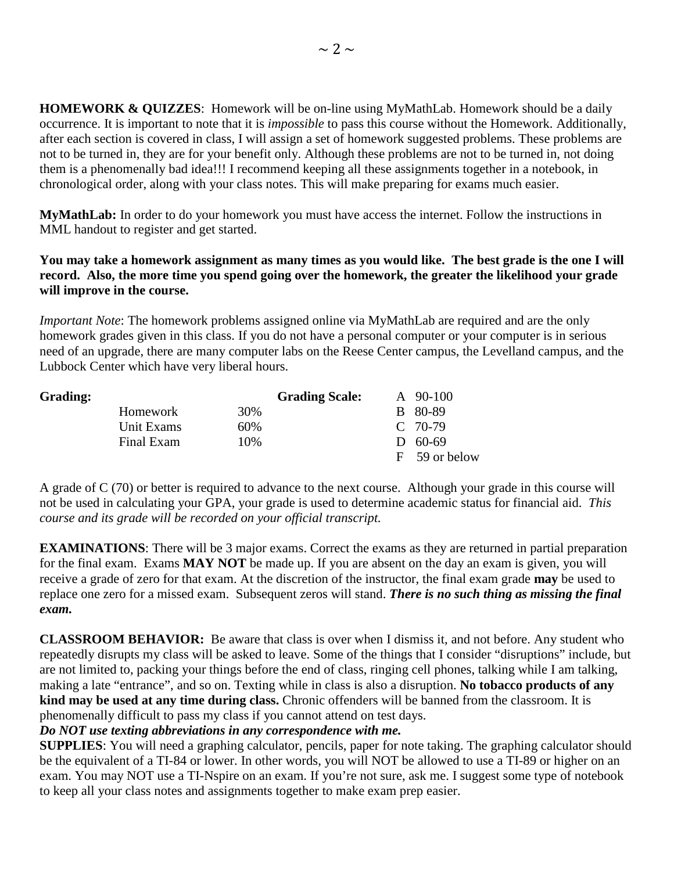**HOMEWORK & QUIZZES**: Homework will be on-line using MyMathLab. Homework should be a daily occurrence. It is important to note that it is *impossible* to pass this course without the Homework. Additionally, after each section is covered in class, I will assign a set of homework suggested problems. These problems are not to be turned in, they are for your benefit only. Although these problems are not to be turned in, not doing them is a phenomenally bad idea!!! I recommend keeping all these assignments together in a notebook, in chronological order, along with your class notes. This will make preparing for exams much easier.

**MyMathLab:** In order to do your homework you must have access the internet. Follow the instructions in MML handout to register and get started.

## **You may take a homework assignment as many times as you would like. The best grade is the one I will record. Also, the more time you spend going over the homework, the greater the likelihood your grade will improve in the course.**

*Important Note*: The homework problems assigned online via MyMathLab are required and are the only homework grades given in this class. If you do not have a personal computer or your computer is in serious need of an upgrade, there are many computer labs on the Reese Center campus, the Levelland campus, and the Lubbock Center which have very liberal hours.

| <b>Grading:</b> |            |     | <b>Grading Scale:</b> | $\rm{A}$ 90-100 |
|-----------------|------------|-----|-----------------------|-----------------|
|                 | Homework   | 30% |                       | B 80-89         |
|                 | Unit Exams | 60% |                       | $C$ 70-79       |
|                 | Final Exam | 10% |                       | $D = 60-69$     |
|                 |            |     |                       | F 59 or below   |

A grade of C (70) or better is required to advance to the next course. Although your grade in this course will not be used in calculating your GPA, your grade is used to determine academic status for financial aid. *This course and its grade will be recorded on your official transcript.*

**EXAMINATIONS:** There will be 3 major exams. Correct the exams as they are returned in partial preparation for the final exam. Exams **MAY NOT** be made up. If you are absent on the day an exam is given, you will receive a grade of zero for that exam. At the discretion of the instructor, the final exam grade **may** be used to replace one zero for a missed exam. Subsequent zeros will stand. *There is no such thing as missing the final exam.*

**CLASSROOM BEHAVIOR:** Be aware that class is over when I dismiss it, and not before. Any student who repeatedly disrupts my class will be asked to leave. Some of the things that I consider "disruptions" include, but are not limited to, packing your things before the end of class, ringing cell phones, talking while I am talking, making a late "entrance", and so on. Texting while in class is also a disruption. **No tobacco products of any kind may be used at any time during class.** Chronic offenders will be banned from the classroom. It is phenomenally difficult to pass my class if you cannot attend on test days.

## *Do NOT use texting abbreviations in any correspondence with me.*

**SUPPLIES:** You will need a graphing calculator, pencils, paper for note taking. The graphing calculator should be the equivalent of a TI-84 or lower. In other words, you will NOT be allowed to use a TI-89 or higher on an exam. You may NOT use a TI-Nspire on an exam. If you're not sure, ask me. I suggest some type of notebook to keep all your class notes and assignments together to make exam prep easier.